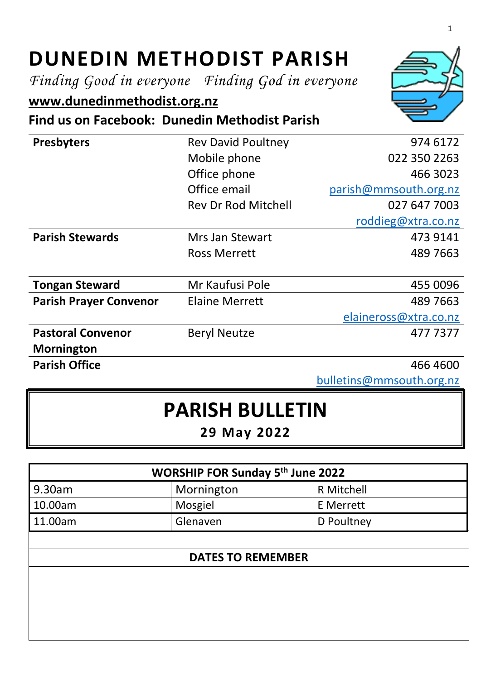## **DUNEDIN METHODIST PARISH**

*Finding Good in everyone Finding God in everyone*

## **[www.dunedinmethodist.org.nz](http://www.dunedinmethodist.org.nz/)**

**Find us on Facebook: Dunedin Methodist Parish**

| <b>Presbyters</b>             | <b>Rev David Poultney</b>  | 974 6172              |
|-------------------------------|----------------------------|-----------------------|
|                               | Mobile phone               | 022 350 2263          |
|                               | Office phone               | 466 3023              |
|                               | Office email               | parish@mmsouth.org.nz |
|                               | <b>Rev Dr Rod Mitchell</b> | 027 647 7003          |
|                               |                            | roddieg@xtra.co.nz    |
| <b>Parish Stewards</b>        | Mrs Jan Stewart            | 473 9141              |
|                               | <b>Ross Merrett</b>        | 489 7663              |
|                               |                            |                       |
| <b>Tongan Steward</b>         | Mr Kaufusi Pole            | 455 0096              |
| <b>Parish Prayer Convenor</b> | <b>Elaine Merrett</b>      | 489 7663              |
|                               |                            | elaineross@xtra.co.nz |
| <b>Pastoral Convenor</b>      | <b>Beryl Neutze</b>        | 4777377               |
| <b>Mornington</b>             |                            |                       |
| <b>Parish Office</b>          |                            | 466 4600              |

[bulletins@mmsouth.org.nz](mailto:bulletins@mmsouth.org.nz)

## **PARISH BULLETIN**

**29 May 2022**

| <b>WORSHIP FOR Sunday 5th June 2022</b> |                  |  |  |  |
|-----------------------------------------|------------------|--|--|--|
| Mornington                              | R Mitchell       |  |  |  |
| Mosgiel                                 | <b>E</b> Merrett |  |  |  |
| Glenaven                                | D Poultney       |  |  |  |
|                                         |                  |  |  |  |
| <b>DATES TO REMEMBER</b>                |                  |  |  |  |
|                                         |                  |  |  |  |
|                                         |                  |  |  |  |
|                                         |                  |  |  |  |
|                                         |                  |  |  |  |
|                                         |                  |  |  |  |